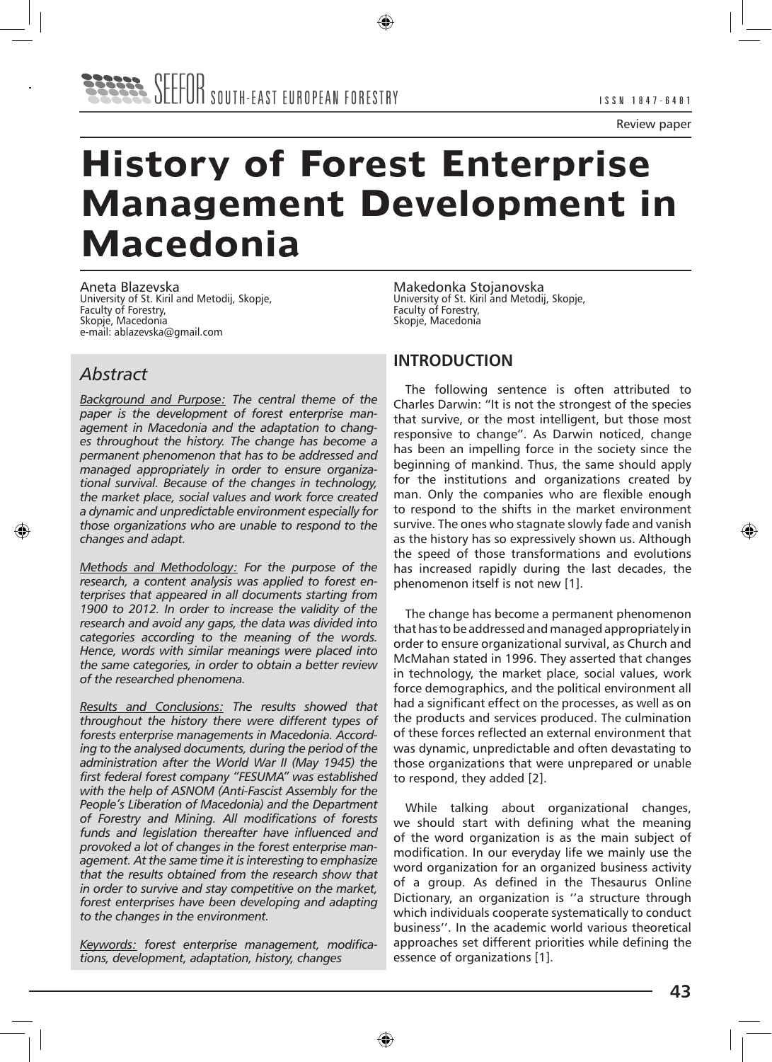# **History of Forest Enterprise Management Development in Macedonia**

Aneta Blazevska University of St. Kiril and Metodij, Skopje, Faculty of Forestry, Skopje, Macedonia e-mail: ablazevska@gmail.com

## *Abstract*

*Background and Purpose: The central theme of the paper is the development of forest enterprise management in Macedonia and the adaptation to changes throughout the history. The change has become a permanent phenomenon that has to be addressed and managed appropriately in order to ensure organizational survival. Because of the changes in technology, the market place, social values and work force created a dynamic and unpredictable environment especially for those organizations who are unable to respond to the changes and adapt.* 

*Methods and Methodology: For the purpose of the research, a content analysis was applied to forest enterprises that appeared in all documents starting from 1900 to 2012. In order to increase the validity of the research and avoid any gaps, the data was divided into categories according to the meaning of the words. Hence, words with similar meanings were placed into the same categories, in order to obtain a better review of the researched phenomena.* 

*Results and Conclusions: The results showed that throughout the history there were different types of forests enterprise managements in Macedonia. According to the analysed documents, during the period of the administration after the World War II (May 1945) the first federal forest company "FESUMA" was established with the help of ASNOM (Anti-Fascist Assembly for the People's Liberation of Macedonia) and the Department of Forestry and Mining. All modifications of forests funds and legislation thereafter have influenced and provoked a lot of changes in the forest enterprise management. At the same time it is interesting to emphasize that the results obtained from the research show that in order to survive and stay competitive on the market, forest enterprises have been developing and adapting to the changes in the environment.* 

*Keywords: forest enterprise management, modifications, development, adaptation, history, changes*

Makedonka Stojanovska University of St. Kiril and Metodij, Skopje, Faculty of Forestry, Skopje, Macedonia

#### **INTRODUCTION**

The following sentence is often attributed to Charles Darwin: "It is not the strongest of the species that survive, or the most intelligent, but those most responsive to change". As Darwin noticed, change has been an impelling force in the society since the beginning of mankind. Thus, the same should apply for the institutions and organizations created by man. Only the companies who are flexible enough to respond to the shifts in the market environment survive. The ones who stagnate slowly fade and vanish as the history has so expressively shown us. Although the speed of those transformations and evolutions has increased rapidly during the last decades, the phenomenon itself is not new [1].

The change has become a permanent phenomenon that has to be addressed and managed appropriately in order to ensure organizational survival, as Church and McMahan stated in 1996. They asserted that changes in technology, the market place, social values, work force demographics, and the political environment all had a significant effect on the processes, as well as on the products and services produced. The culmination of these forces reflected an external environment that was dynamic, unpredictable and often devastating to those organizations that were unprepared or unable to respond, they added [2].

While talking about organizational changes, we should start with defining what the meaning of the word organization is as the main subject of modification. In our everyday life we mainly use the word organization for an organized business activity of a group. As defined in the Thesaurus Online Dictionary, an organization is ''a structure through which individuals cooperate systematically to conduct business''. In the academic world various theoretical approaches set different priorities while defining the essence of organizations [1].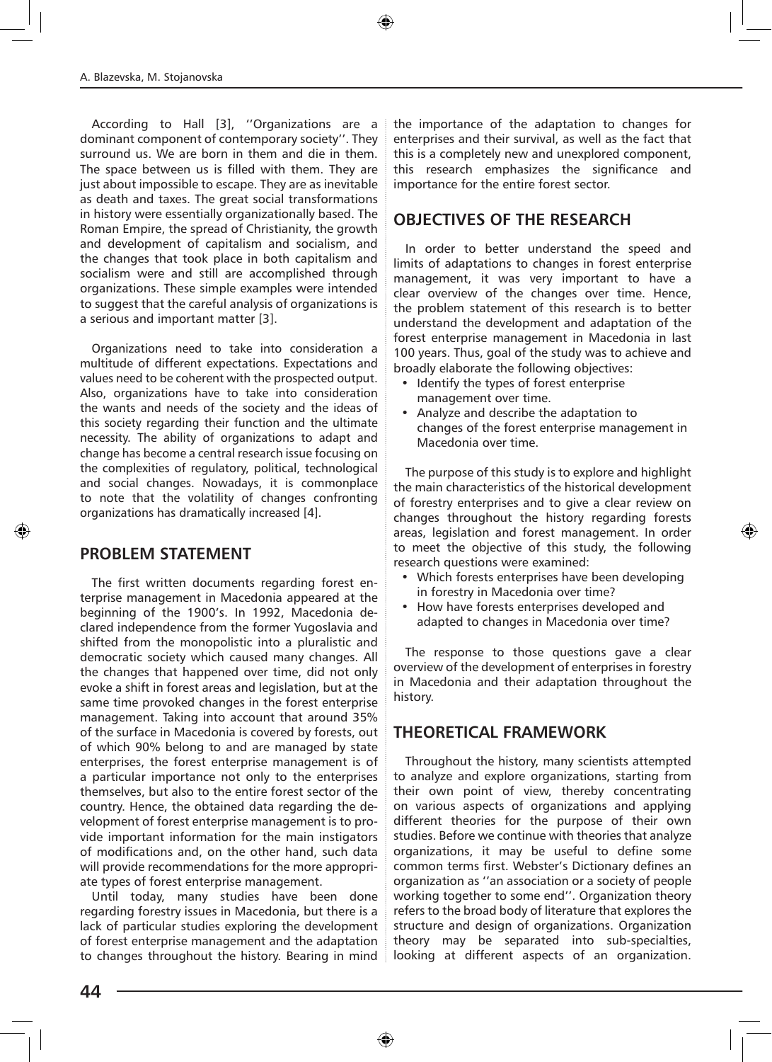According to Hall [3], ''Organizations are a dominant component of contemporary society''. They surround us. We are born in them and die in them. The space between us is filled with them. They are just about impossible to escape. They are as inevitable as death and taxes. The great social transformations in history were essentially organizationally based. The Roman Empire, the spread of Christianity, the growth and development of capitalism and socialism, and the changes that took place in both capitalism and socialism were and still are accomplished through organizations. These simple examples were intended to suggest that the careful analysis of organizations is a serious and important matter [3].

Organizations need to take into consideration a multitude of different expectations. Expectations and values need to be coherent with the prospected output. Also, organizations have to take into consideration the wants and needs of the society and the ideas of this society regarding their function and the ultimate necessity. The ability of organizations to adapt and change has become a central research issue focusing on the complexities of regulatory, political, technological and social changes. Nowadays, it is commonplace to note that the volatility of changes confronting organizations has dramatically increased [4].

#### **PROBLEM STATEMENT**

The first written documents regarding forest enterprise management in Macedonia appeared at the beginning of the 1900's. In 1992, Macedonia declared independence from the former Yugoslavia and shifted from the monopolistic into a pluralistic and democratic society which caused many changes. All the changes that happened over time, did not only evoke a shift in forest areas and legislation, but at the same time provoked changes in the forest enterprise management. Taking into account that around 35% of the surface in Macedonia is covered by forests, out of which 90% belong to and are managed by state enterprises, the forest enterprise management is of a particular importance not only to the enterprises themselves, but also to the entire forest sector of the country. Hence, the obtained data regarding the development of forest enterprise management is to provide important information for the main instigators of modifications and, on the other hand, such data will provide recommendations for the more appropriate types of forest enterprise management.

Until today, many studies have been done regarding forestry issues in Macedonia, but there is a lack of particular studies exploring the development of forest enterprise management and the adaptation to changes throughout the history. Bearing in mind the importance of the adaptation to changes for enterprises and their survival, as well as the fact that this is a completely new and unexplored component, this research emphasizes the significance and importance for the entire forest sector.

### **OBJECTIVES OF THE RESEARCH**

In order to better understand the speed and limits of adaptations to changes in forest enterprise management, it was very important to have a clear overview of the changes over time. Hence, the problem statement of this research is to better understand the development and adaptation of the forest enterprise management in Macedonia in last 100 years. Thus, goal of the study was to achieve and broadly elaborate the following objectives:

- • Identify the types of forest enterprise management over time.
- • Analyze and describe the adaptation to changes of the forest enterprise management in Macedonia over time.

The purpose of this study is to explore and highlight the main characteristics of the historical development of forestry enterprises and to give a clear review on changes throughout the history regarding forests areas, legislation and forest management. In order to meet the objective of this study, the following research questions were examined:

- Which forests enterprises have been developing in forestry in Macedonia over time?
- • How have forests enterprises developed and adapted to changes in Macedonia over time?

The response to those questions gave a clear overview of the development of enterprises in forestry in Macedonia and their adaptation throughout the history.

#### **THEORETICAL FRAMEWORK**

Throughout the history, many scientists attempted to analyze and explore organizations, starting from their own point of view, thereby concentrating on various aspects of organizations and applying different theories for the purpose of their own studies. Before we continue with theories that analyze organizations, it may be useful to define some common terms first. Webster's Dictionary defines an organization as ''an association or a society of people working together to some end''. Organization theory refers to the broad body of literature that explores the structure and design of organizations. Organization theory may be separated into sub-specialties, looking at different aspects of an organization.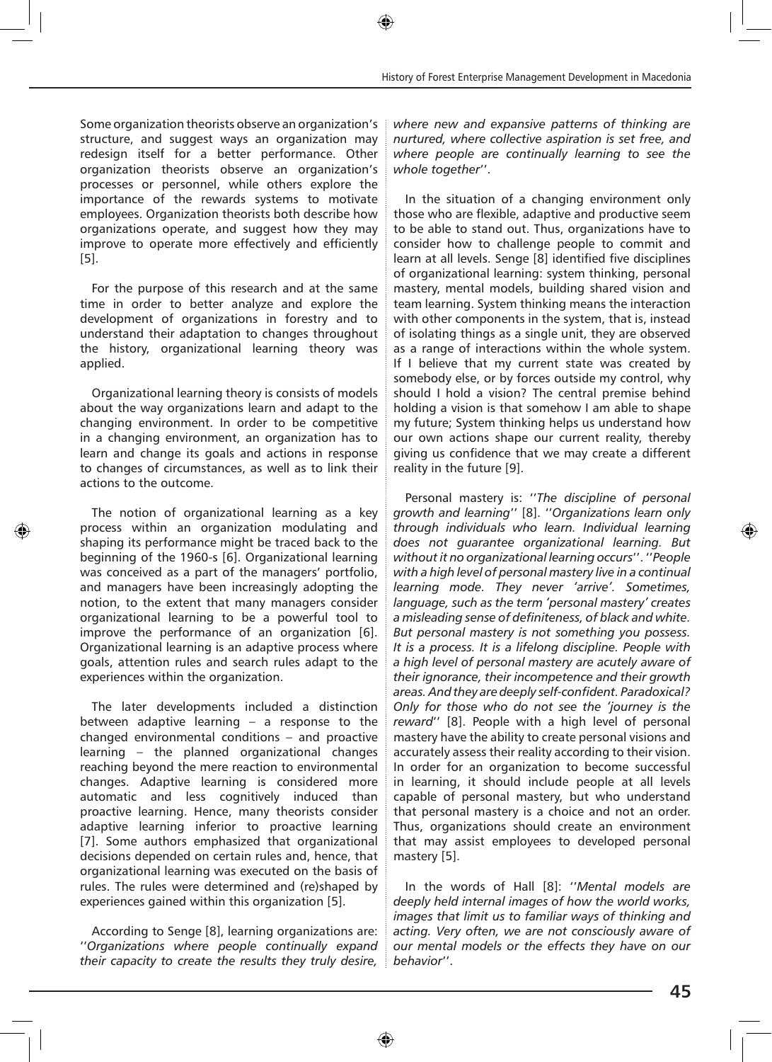Some organization theorists observe an organization's structure, and suggest ways an organization may redesign itself for a better performance. Other organization theorists observe an organization's processes or personnel, while others explore the importance of the rewards systems to motivate employees. Organization theorists both describe how organizations operate, and suggest how they may improve to operate more effectively and efficiently [5].

For the purpose of this research and at the same time in order to better analyze and explore the development of organizations in forestry and to understand their adaptation to changes throughout the history, organizational learning theory was applied.

Organizational learning theory is consists of models about the way organizations learn and adapt to the changing environment. In order to be competitive in a changing environment, an organization has to learn and change its goals and actions in response to changes of circumstances, as well as to link their actions to the outcome.

The notion of organizational learning as a key process within an organization modulating and shaping its performance might be traced back to the beginning of the 1960-s [6]. Organizational learning was conceived as a part of the managers' portfolio, and managers have been increasingly adopting the notion, to the extent that many managers consider organizational learning to be a powerful tool to improve the performance of an organization [6]. Organizational learning is an adaptive process where goals, attention rules and search rules adapt to the experiences within the organization.

The later developments included a distinction between adaptive learning – a response to the changed environmental conditions – and proactive learning – the planned organizational changes reaching beyond the mere reaction to environmental changes. Adaptive learning is considered more automatic and less cognitively induced than proactive learning. Hence, many theorists consider adaptive learning inferior to proactive learning [7]. Some authors emphasized that organizational decisions depended on certain rules and, hence, that organizational learning was executed on the basis of rules. The rules were determined and (re)shaped by experiences gained within this organization [5].

According to Senge [8], learning organizations are: ''*Organizations where people continually expand their capacity to create the results they truly desire,*  *where new and expansive patterns of thinking are nurtured, where collective aspiration is set free, and where people are continually learning to see the whole together*''.

In the situation of a changing environment only those who are flexible, adaptive and productive seem to be able to stand out. Thus, organizations have to consider how to challenge people to commit and learn at all levels. Senge [8] identified five disciplines of organizational learning: system thinking, personal mastery, mental models, building shared vision and team learning. System thinking means the interaction with other components in the system, that is, instead of isolating things as a single unit, they are observed as a range of interactions within the whole system. If I believe that my current state was created by somebody else, or by forces outside my control, why should I hold a vision? The central premise behind holding a vision is that somehow I am able to shape my future; System thinking helps us understand how our own actions shape our current reality, thereby giving us confidence that we may create a different reality in the future [9].

Personal mastery is: ''*The discipline of personal growth and learning*'' [8]. ''*Organizations learn only through individuals who learn. Individual learning does not guarantee organizational learning. But without it no organizational learning occurs*''. ''*People with a high level of personal mastery live in a continual learning mode. They never 'arrive'. Sometimes, language, such as the term 'personal mastery' creates a misleading sense of definiteness, of black and white. But personal mastery is not something you possess. It is a process. It is a lifelong discipline. People with a high level of personal mastery are acutely aware of their ignorance, their incompetence and their growth areas. And they are deeply self-confident. Paradoxical? Only for those who do not see the 'journey is the reward*'' [8]. People with a high level of personal mastery have the ability to create personal visions and accurately assess their reality according to their vision. In order for an organization to become successful in learning, it should include people at all levels capable of personal mastery, but who understand that personal mastery is a choice and not an order. Thus, organizations should create an environment that may assist employees to developed personal mastery [5].

In the words of Hall [8]: ''*Mental models are deeply held internal images of how the world works, images that limit us to familiar ways of thinking and acting. Very often, we are not consciously aware of our mental models or the effects they have on our behavior*''.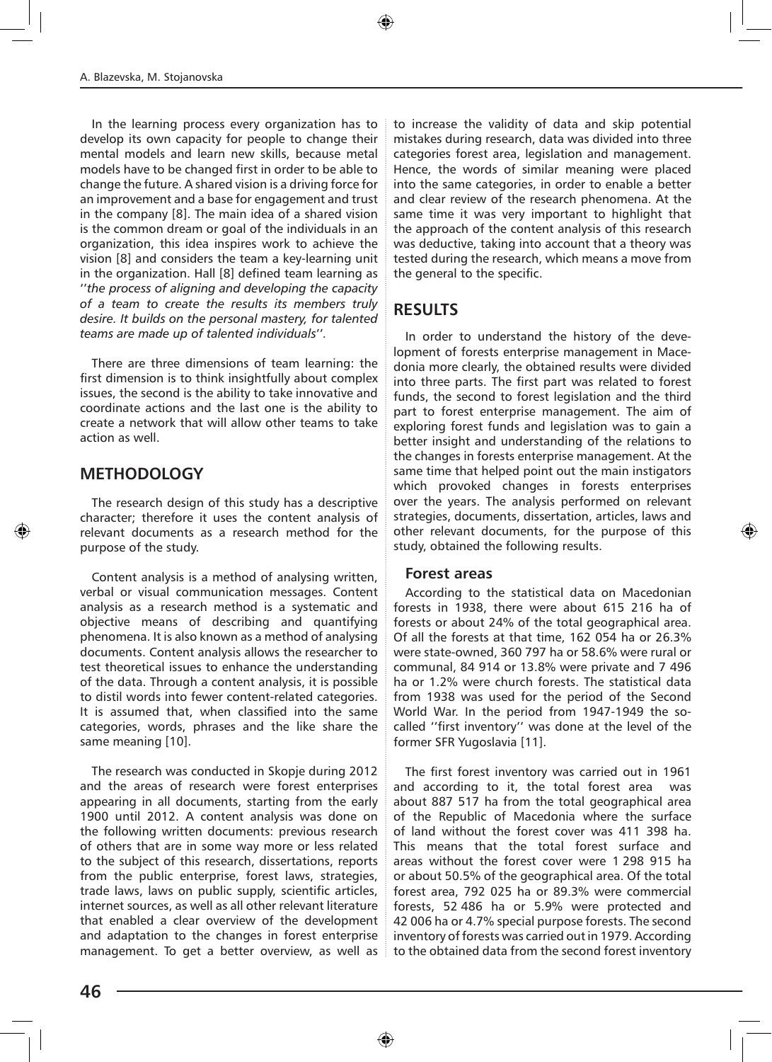In the learning process every organization has to develop its own capacity for people to change their mental models and learn new skills, because metal models have to be changed first in order to be able to change the future. A shared vision is a driving force for an improvement and a base for engagement and trust in the company [8]. The main idea of a shared vision is the common dream or goal of the individuals in an organization, this idea inspires work to achieve the vision [8] and considers the team a key-learning unit in the organization. Hall [8] defined team learning as ''*the process of aligning and developing the capacity of a team to create the results its members truly desire. It builds on the personal mastery, for talented teams are made up of talented individuals*''*.*

There are three dimensions of team learning: the first dimension is to think insightfully about complex issues, the second is the ability to take innovative and coordinate actions and the last one is the ability to create a network that will allow other teams to take action as well.

#### **METHODOLOGY**

The research design of this study has a descriptive character; therefore it uses the content analysis of relevant documents as a research method for the purpose of the study.

Content analysis is a method of analysing written, verbal or visual communication messages. Content analysis as a research method is a systematic and objective means of describing and quantifying phenomena. It is also known as a method of analysing documents. Content analysis allows the researcher to test theoretical issues to enhance the understanding of the data. Through a content analysis, it is possible to distil words into fewer content-related categories. It is assumed that, when classified into the same categories, words, phrases and the like share the same meaning [10].

The research was conducted in Skopje during 2012 and the areas of research were forest enterprises appearing in all documents, starting from the early 1900 until 2012. A content analysis was done on the following written documents: previous research of others that are in some way more or less related to the subject of this research, dissertations, reports from the public enterprise, forest laws, strategies, trade laws, laws on public supply, scientific articles, internet sources, as well as all other relevant literature that enabled a clear overview of the development and adaptation to the changes in forest enterprise management. To get a better overview, as well as to increase the validity of data and skip potential mistakes during research, data was divided into three categories forest area, legislation and management. Hence, the words of similar meaning were placed into the same categories, in order to enable a better and clear review of the research phenomena. At the same time it was very important to highlight that the approach of the content analysis of this research was deductive, taking into account that a theory was tested during the research, which means a move from the general to the specific.

#### **RESULTS**

In order to understand the history of the development of forests enterprise management in Macedonia more clearly, the obtained results were divided into three parts. The first part was related to forest funds, the second to forest legislation and the third part to forest enterprise management. The aim of exploring forest funds and legislation was to gain a better insight and understanding of the relations to the changes in forests enterprise management. At the same time that helped point out the main instigators which provoked changes in forests enterprises over the years. The analysis performed on relevant strategies, documents, dissertation, articles, laws and other relevant documents, for the purpose of this study, obtained the following results.

#### **Forest areas**

According to the statistical data on Macedonian forests in 1938, there were about 615 216 ha of forests or about 24% of the total geographical area. Of all the forests аt that time, 162 054 ha or 26.3% were state-owned, 360 797 ha or 58.6% were rural or communal, 84 914 or 13.8% were private and 7 496 ha or 1.2% were church forests. The statistical data from 1938 was used for the period of the Second World War. In the period from 1947-1949 the socalled ''first inventory'' was done at the level of the former SFR Yugoslavia [11].

The first forest inventory was carried out in 1961 and according to it, the total forest area was about 887 517 ha from the total geographical area of the Republic of Macedonia where the surface of land without the forest cover was 411 398 ha. This means that the total forest surface and areas without the forest cover were 1 298 915 ha or about 50.5% of the geographical area. Of the total forest area, 792 025 ha or 89.3% were commercial forests, 52 486 ha or 5.9% were protected and 42 006 ha or 4.7% special purpose forests. The second inventory of forests was carried out in 1979. According to the obtained data from the second forest inventory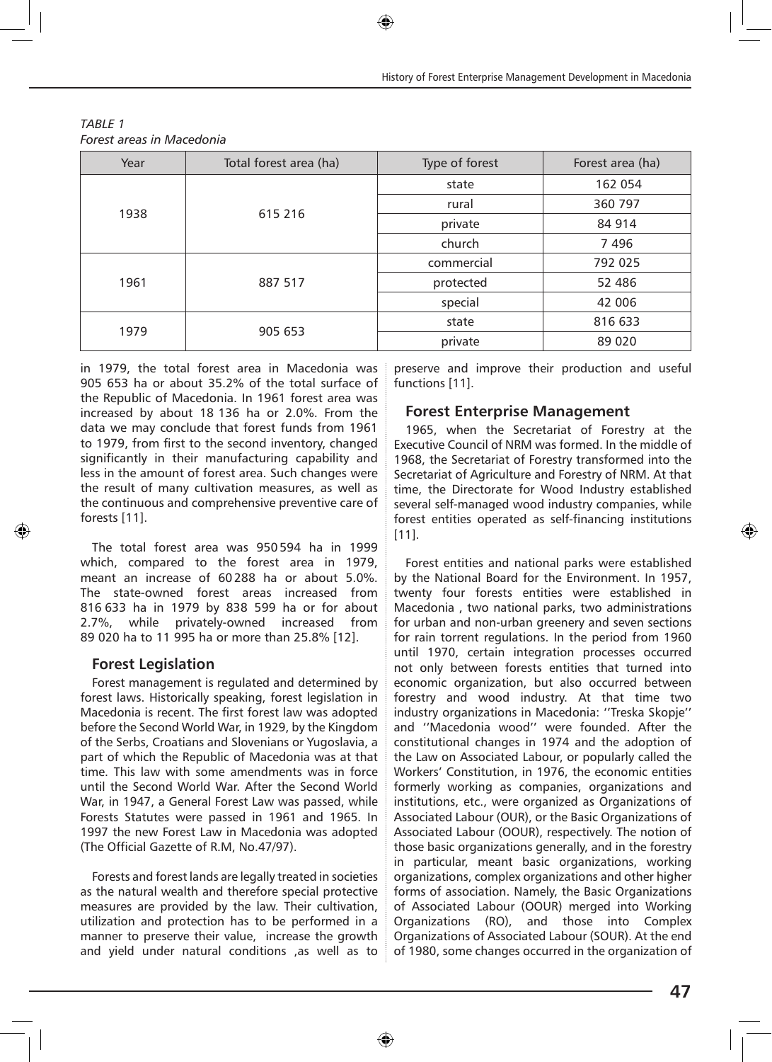| Year | Total forest area (ha) | Type of forest | Forest area (ha) |
|------|------------------------|----------------|------------------|
| 1938 | 615 216                | state          | 162 054          |
|      |                        | rural          | 360 797          |
|      |                        | private        | 84 914           |
|      |                        | church         | 7496             |
| 1961 | 887 517                | commercial     | 792 025          |
|      |                        | protected      | 52 486           |
|      |                        | special        | 42 006           |
| 1979 | 905 653                | state          | 816 633          |
|      |                        | private        | 89 0 20          |

*TABLE 1 Forest areas in Macedonia*

in 1979, the total forest area in Macedonia was 905 653 ha or about 35.2% of the total surface of the Republic of Macedonia. In 1961 forest area was increased by about 18 136 ha or 2.0%. From the data we may conclude that forest funds from 1961 to 1979, from first to the second inventory, changed significantly in their manufacturing capability and less in the amount of forest area. Such changes were the result of many cultivation measures, as well as the continuous and comprehensive preventive care of forests [11].

The total forest area was 950 594 ha in 1999 which, compared to the forest area in 1979, meant an increase of 60 288 ha or about 5.0%. The state-owned forest areas increased from 816 633 ha in 1979 by 838 599 ha or for about 2.7%, while privately-owned increased from 89 020 ha to 11 995 ha or more than 25.8% [12].

#### **Forest Legislation**

Forest management is regulated and determined by forest laws. Historically speaking, forest legislation in Macedonia is recent. The first forest law was adopted before the Second World War, in 1929, by the Kingdom of the Serbs, Croatians and Slovenians or Yugoslavia, a part of which the Republic of Macedonia was at that time. This law with some amendments was in force until the Second World War. After the Second World War, in 1947, a General Forest Law was passed, while Forests Statutes were passed in 1961 and 1965. In 1997 the new Forest Law in Macedonia was adopted (The Official Gazette of R.M, No.47/97).

Forests and forest lands are legally treated in societies as the natural wealth and therefore special protective measures are provided by the law. Their cultivation, utilization and protection has to be performed in a manner to preserve their value, increase the growth and yield under natural conditions ,as well as to

preserve and improve their production and useful functions [11].

#### **Forest Enterprise Management**

1965, when the Secretariat of Forestry at the Executive Council of NRM was formed. In the middle of 1968, the Secretariat of Forestry transformed into the Secretariat of Agriculture and Forestry of NRM. At that time, the Directorate for Wood Industry established several self-managed wood industry companies, while forest entities operated as self-financing institutions [11].

Forest entities and national parks were established by the National Board for the Environment. In 1957, twenty four forests entities were established in Macedonia , two national parks, two administrations for urban and non-urban greenery and seven sections for rain torrent regulations. In the period from 1960 until 1970, certain integration processes occurred not only between forests entities that turned into economic organization, but also occurred between forestry and wood industry. At that time two industry organizations in Macedonia: ''Treska Skopje'' and ''Macedonia wood'' were founded. After the constitutional changes in 1974 and the adoption of the Law on Associated Labour, or popularly called the Workers' Constitution, in 1976, the economic entities formerly working as companies, organizations and institutions, etc., were organized as Organizations of Associated Labour (OUR), or the Basic Organizations of Associated Labour (OOUR), respectively. The notion of those basic organizations generally, and in the forestry in particular, meant basic organizations, working organizations, complex organizations and other higher forms of association. Namely, the Basic Organizations of Associated Labour (OOUR) merged into Working Organizations (RO), and those into Complex Organizations of Associated Labour (SOUR). At the end of 1980, some changes occurred in the organization of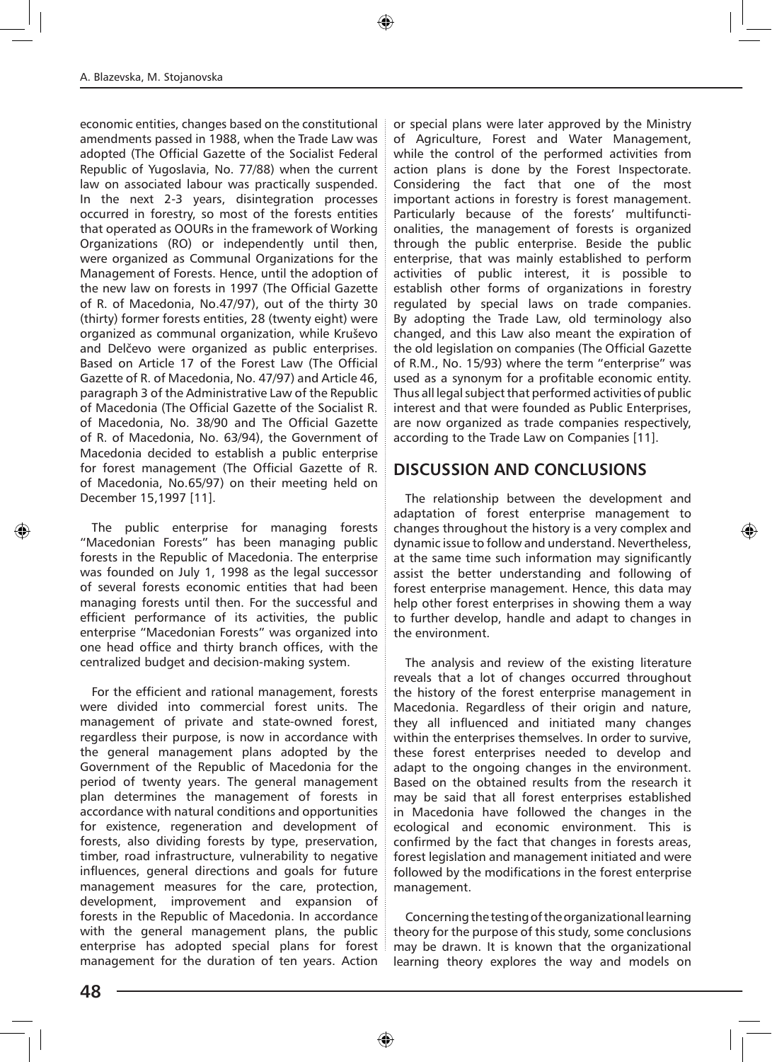economic entities, changes based on the constitutional amendments passed in 1988, when the Trade Law was adopted (The Official Gazette of the Socialist Federal Republic of Yugoslavia, No. 77/88) when the current law on associated labour was practically suspended. In the next 2-3 years, disintegration processes occurred in forestry, so most of the forests entities that operated as OOURs in the framework of Working Organizations (RO) or independently until then, were organized as Communal Organizations for the Management of Forests. Hence, until the adoption of the new law on forests in 1997 (The Official Gazette of R. of Macedonia, No.47/97), out of the thirty 30 (thirty) former forests entities, 28 (twenty eight) were organized as communal organization, while Kruševo and Delčevo were organized as public enterprises. Based on Article 17 of the Forest Law (The Official Gazette of R. of Macedonia, No. 47/97) and Article 46, paragraph 3 of the Administrative Law of the Republic of Macedonia (The Official Gazette of the Socialist R. of Macedonia, No. 38/90 and The Official Gazette of R. of Macedonia, No. 63/94), the Government of Macedonia decided to establish a public enterprise for forest management (The Official Gazette of R. of Macedonia, No.65/97) on their meeting held on December 15,1997 [11].

The public enterprise for managing forests "Macedonian Forests" has been managing public forests in the Republic of Macedonia. The enterprise was founded on July 1, 1998 as the legal successor of several forests economic entities that had been managing forests until then. For the successful and efficient performance of its activities, the public enterprise "Macedonian Forests" was organized into one head office and thirty branch offices, with the centralized budget and decision-making system.

For the efficient and rational management, forests were divided into commercial forest units. The management of private and state-owned forest, regardless their purpose, is now in accordance with the general management plans adopted by the Government of the Republic of Macedonia for the period of twenty years. The general management plan determines the management of forests in accordance with natural conditions and opportunities for existence, regeneration and development of forests, also dividing forests by type, preservation, timber, road infrastructure, vulnerability to negative influences, general directions and goals for future management measures for the care, protection, development, improvement and expansion of forests in the Republic of Macedonia. In accordance with the general management plans, the public enterprise has adopted special plans for forest management for the duration of ten years. Action

or special plans were later approved by the Ministry of Agriculture, Forest and Water Management, while the control of the performed activities from action plans is done by the Forest Inspectorate. Considering the fact that one of the most important actions in forestry is forest management. Particularly because of the forests' multifunctionalities, the management of forests is organized through the public enterprise. Beside the public enterprise, that was mainly established to perform activities of public interest, it is possible to establish other forms of organizations in forestry regulated by special laws on trade companies. By adopting the Trade Law, old terminology also changed, and this Law also meant the expiration of the old legislation on companies (The Official Gazette of R.M., No. 15/93) where the term "enterprise" was used as a synonym for a profitable economic entity. Thus all legal subject that performed activities of public interest and that were founded as Public Enterprises, are now organized as trade companies respectively, according to the Trade Law on Companies [11].

#### **DISCUSSION AND CONCLUSIONS**

The relationship between the development and adaptation of forest enterprise management to changes throughout the history is a very complex and dynamic issue to follow and understand. Nevertheless, at the same time such information may significantly assist the better understanding and following of forest enterprise management. Hence, this data may help other forest enterprises in showing them a way to further develop, handle and adapt to changes in the environment.

The analysis and review of the existing literature reveals that a lot of changes occurred throughout the history of the forest enterprise management in Macedonia. Regardless of their origin and nature, they all influenced and initiated many changes within the enterprises themselves. In order to survive, these forest enterprises needed to develop and adapt to the ongoing changes in the environment. Based on the obtained results from the research it may be said that all forest enterprises established in Macedonia have followed the changes in the ecological and economic environment. This is confirmed by the fact that changes in forests areas, forest legislation and management initiated and were followed by the modifications in the forest enterprise management.

Concerning the testing of the organizational learning theory for the purpose of this study, some conclusions may be drawn. It is known that the organizational learning theory explores the way and models on